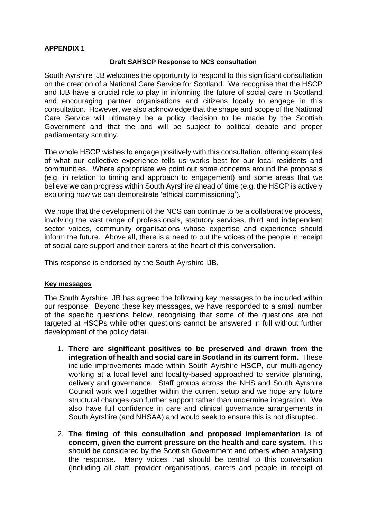#### **APPENDIX 1**

#### **Draft SAHSCP Response to NCS consultation**

South Ayrshire IJB welcomes the opportunity to respond to this significant consultation on the creation of a National Care Service for Scotland. We recognise that the HSCP and IJB have a crucial role to play in informing the future of social care in Scotland and encouraging partner organisations and citizens locally to engage in this consultation. However, we also acknowledge that the shape and scope of the National Care Service will ultimately be a policy decision to be made by the Scottish Government and that the and will be subject to political debate and proper parliamentary scrutiny.

The whole HSCP wishes to engage positively with this consultation, offering examples of what our collective experience tells us works best for our local residents and communities. Where appropriate we point out some concerns around the proposals (e.g. in relation to timing and approach to engagement) and some areas that we believe we can progress within South Ayrshire ahead of time (e.g. the HSCP is actively exploring how we can demonstrate 'ethical commissioning').

We hope that the development of the NCS can continue to be a collaborative process, involving the vast range of professionals, statutory services, third and independent sector voices, community organisations whose expertise and experience should inform the future. Above all, there is a need to put the voices of the people in receipt of social care support and their carers at the heart of this conversation.

This response is endorsed by the South Ayrshire IJB.

#### **Key messages**

The South Ayrshire IJB has agreed the following key messages to be included within our response. Beyond these key messages, we have responded to a small number of the specific questions below, recognising that some of the questions are not targeted at HSCPs while other questions cannot be answered in full without further development of the policy detail.

- 1. **There are significant positives to be preserved and drawn from the integration of health and social care in Scotland in its current form.** These include improvements made within South Ayrshire HSCP, our multi-agency working at a local level and locality-based approached to service planning, delivery and governance. Staff groups across the NHS and South Ayrshire Council work well together within the current setup and we hope any future structural changes can further support rather than undermine integration. We also have full confidence in care and clinical governance arrangements in South Ayrshire (and NHSAA) and would seek to ensure this is not disrupted.
- 2. **The timing of this consultation and proposed implementation is of concern, given the current pressure on the health and care system.** This should be considered by the Scottish Government and others when analysing the response. Many voices that should be central to this conversation (including all staff, provider organisations, carers and people in receipt of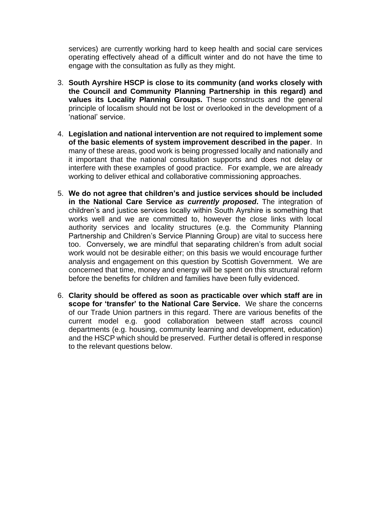services) are currently working hard to keep health and social care services operating effectively ahead of a difficult winter and do not have the time to engage with the consultation as fully as they might.

- 3. **South Ayrshire HSCP is close to its community (and works closely with the Council and Community Planning Partnership in this regard) and values its Locality Planning Groups.** These constructs and the general principle of localism should not be lost or overlooked in the development of a 'national' service.
- 4. **Legislation and national intervention are not required to implement some of the basic elements of system improvement described in the paper**. In many of these areas, good work is being progressed locally and nationally and it important that the national consultation supports and does not delay or interfere with these examples of good practice. For example, we are already working to deliver ethical and collaborative commissioning approaches.
- 5. **We do not agree that children's and justice services should be included in the National Care Service** *as currently proposed***.** The integration of children's and justice services locally within South Ayrshire is something that works well and we are committed to, however the close links with local authority services and locality structures (e.g. the Community Planning Partnership and Children's Service Planning Group) are vital to success here too. Conversely, we are mindful that separating children's from adult social work would not be desirable either; on this basis we would encourage further analysis and engagement on this question by Scottish Government. We are concerned that time, money and energy will be spent on this structural reform before the benefits for children and families have been fully evidenced.
- 6. **Clarity should be offered as soon as practicable over which staff are in scope for 'transfer' to the National Care Service.** We share the concerns of our Trade Union partners in this regard. There are various benefits of the current model e.g. good collaboration between staff across council departments (e.g. housing, community learning and development, education) and the HSCP which should be preserved. Further detail is offered in response to the relevant questions below.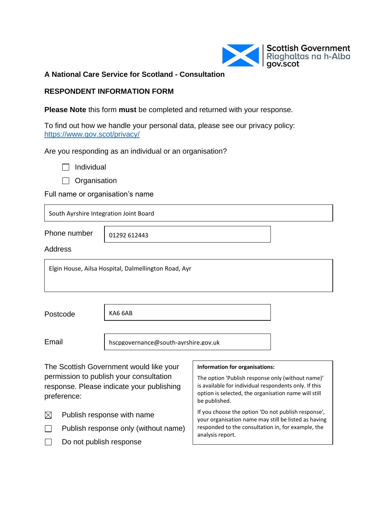

**A National Care Service for Scotland - Consultation**

### **RESPONDENT INFORMATION FORM**

**Please Note** this form **must** be completed and returned with your response.

To find out how we handle your personal data, please see our privacy policy: <https://www.gov.scot/privacy/>

Are you responding as an individual or an organisation?

 $\Box$  Organisation

Full name or organisation's name

| South Ayrshire Integration Joint Board    |                                                                                                                                 |                                                                                                                                                                                                                       |  |
|-------------------------------------------|---------------------------------------------------------------------------------------------------------------------------------|-----------------------------------------------------------------------------------------------------------------------------------------------------------------------------------------------------------------------|--|
| Phone number                              | 01292 612443                                                                                                                    |                                                                                                                                                                                                                       |  |
| Address                                   |                                                                                                                                 |                                                                                                                                                                                                                       |  |
|                                           | Elgin House, Ailsa Hospital, Dalmellington Road, Ayr                                                                            |                                                                                                                                                                                                                       |  |
| Postcode                                  | KA6 6AB                                                                                                                         |                                                                                                                                                                                                                       |  |
| Email                                     | hscpgovernance@south-ayrshire.gov.uk                                                                                            |                                                                                                                                                                                                                       |  |
| preference:                               | The Scottish Government would like your<br>permission to publish your consultation<br>response. Please indicate your publishing | Information for organisations:<br>The option 'Publish response only (without name)'<br>is available for individual respondents only. If this<br>option is selected, the organisation name will still<br>be published. |  |
| Publish response with name<br>$\boxtimes$ |                                                                                                                                 | If you choose the option 'Do not publish response',                                                                                                                                                                   |  |

f you choose the option 'Do not publish response', your organisation name may still be listed as having responded to the consultation in, for example, the analysis report.

 $\Box$ Do not publish response

 $\Box$ 

Publish response only (without name)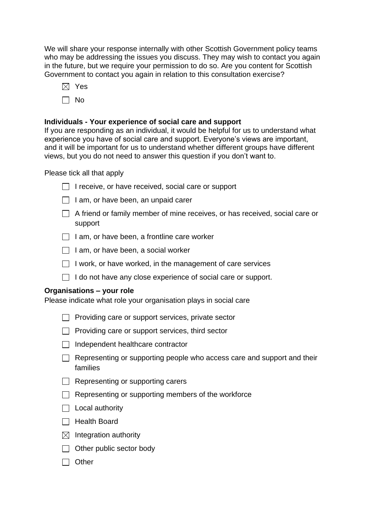We will share your response internally with other Scottish Government policy teams who may be addressing the issues you discuss. They may wish to contact you again in the future, but we require your permission to do so. Are you content for Scottish Government to contact you again in relation to this consultation exercise?

- $\boxtimes$  Yes
- $\Box$  No

### **Individuals - Your experience of social care and support**

If you are responding as an individual, it would be helpful for us to understand what experience you have of social care and support. Everyone's views are important, and it will be important for us to understand whether different groups have different views, but you do not need to answer this question if you don't want to.

Please tick all that apply

- $\Box$  I receive, or have received, social care or support
- $\Box$  I am, or have been, an unpaid carer
- $\Box$  A friend or family member of mine receives, or has received, social care or support
- $\Box$  I am, or have been, a frontline care worker
- $\Box$  I am, or have been, a social worker
- $\Box$  I work, or have worked, in the management of care services
- $\Box$  I do not have any close experience of social care or support.

### **Organisations – your role**

Please indicate what role your organisation plays in social care

- $\Box$  Providing care or support services, private sector
- $\Box$  Providing care or support services, third sector
- $\Box$  Independent healthcare contractor
- $\Box$  Representing or supporting people who access care and support and their families
- $\Box$  Representing or supporting carers
- $\Box$  Representing or supporting members of the workforce
- $\Box$  Local authority
- $\Box$  Health Board
- $\boxtimes$  Integration authority
- $\Box$  Other public sector body
- $\Box$  Other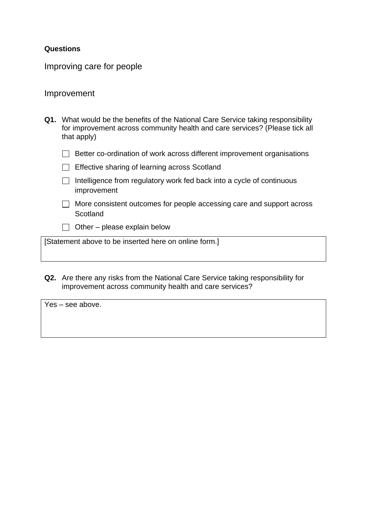### **Questions**

Improving care for people

### Improvement

| Q1. What would be the benefits of the National Care Service taking responsibility |
|-----------------------------------------------------------------------------------|
| for improvement across community health and care services? (Please tick all       |
| that apply)                                                                       |

|  |  | $\Box$ Better co-ordination of work across different improvement organisations |  |
|--|--|--------------------------------------------------------------------------------|--|
|  |  |                                                                                |  |

- Effective sharing of learning across Scotland
- $\Box$  Intelligence from regulatory work fed back into a cycle of continuous improvement
- $\Box$  More consistent outcomes for people accessing care and support across **Scotland**
- $\Box$  Other please explain below

[Statement above to be inserted here on online form.]

**Q2.** Are there any risks from the National Care Service taking responsibility for improvement across community health and care services?

| $\vert$ Yes – see above. |  |  |  |
|--------------------------|--|--|--|
|                          |  |  |  |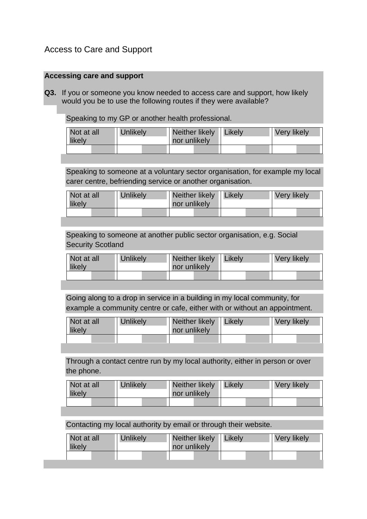# Access to Care and Support

### **Accessing care and support**

**Q3.** If you or someone you know needed to access care and support, how likely would you be to use the following routes if they were available?

Speaking to my GP or another health professional.

| Not at all<br>likely | <b>Unlikely</b> | Neither likely<br>nor unlikely | Likelv | <b>Very likely</b> |
|----------------------|-----------------|--------------------------------|--------|--------------------|
|                      |                 |                                |        |                    |

Speaking to someone at a voluntary sector organisation, for example my local carer centre, befriending service or another organisation.

| Not at all | Unlikely | Neither likely   Likely | <b>Very likely</b> |
|------------|----------|-------------------------|--------------------|
| likely     |          | nor unlikely            |                    |
|            |          |                         |                    |

Speaking to someone at another public sector organisation, e.g. Social Security Scotland

| Not at all<br>likely | <b>Unlikely</b> | Neither likely<br>nor unlikely | Likely | <b>Very likely</b> |
|----------------------|-----------------|--------------------------------|--------|--------------------|
|                      |                 |                                |        |                    |

Going along to a drop in service in a building in my local community, for example a community centre or cafe, either with or without an appointment.

| Not at all<br>likely | <b>Unlikely</b> | Neither likely   Likely<br>nor unlikely | <b>Very likely</b> |
|----------------------|-----------------|-----------------------------------------|--------------------|
|                      |                 |                                         |                    |

Through a contact centre run by my local authority, either in person or over the phone.

| Not at all<br>likely | Unlikely | Neither likely   Likely<br>nor unlikely | <b>Very likely</b> |
|----------------------|----------|-----------------------------------------|--------------------|
|                      |          |                                         |                    |

Contacting my local authority by email or through their website.

| Not at all | <b>Unlikely</b> | Neither likely   Likely | <b>Very likely</b> |
|------------|-----------------|-------------------------|--------------------|
| likely     |                 | nor unlikely            |                    |
|            |                 |                         |                    |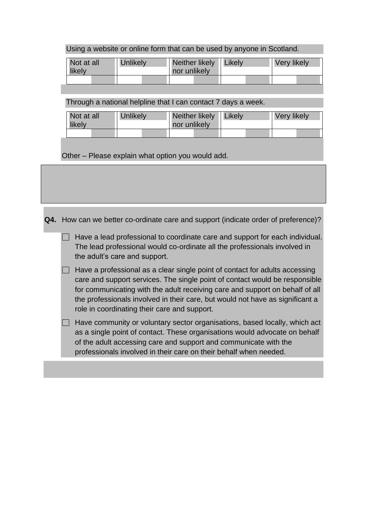| Using a website or online form that can be used by anyone in Scotland. |  |
|------------------------------------------------------------------------|--|
|------------------------------------------------------------------------|--|

| Not at all<br>likely | <b>Unlikely</b> | Neither likely<br>nor unlikely | Likely | <b>Very likely</b> |
|----------------------|-----------------|--------------------------------|--------|--------------------|
|                      |                 |                                |        |                    |

Through a national helpline that I can contact 7 days a week.

| Not at all<br>likely | Unlikely | Neither likely<br>nor unlikely | Likely | Very likely |
|----------------------|----------|--------------------------------|--------|-------------|
|                      |          |                                |        |             |

Other – Please explain what option you would add.

**Q4.** How can we better co-ordinate care and support (indicate order of preference)?

 $\Box$  Have a lead professional to coordinate care and support for each individual. The lead professional would co-ordinate all the professionals involved in the adult's care and support.

 $\Box$  Have a professional as a clear single point of contact for adults accessing care and support services. The single point of contact would be responsible for communicating with the adult receiving care and support on behalf of all the professionals involved in their care, but would not have as significant a role in coordinating their care and support.

 $\Box$  Have community or voluntary sector organisations, based locally, which act as a single point of contact. These organisations would advocate on behalf of the adult accessing care and support and communicate with the professionals involved in their care on their behalf when needed.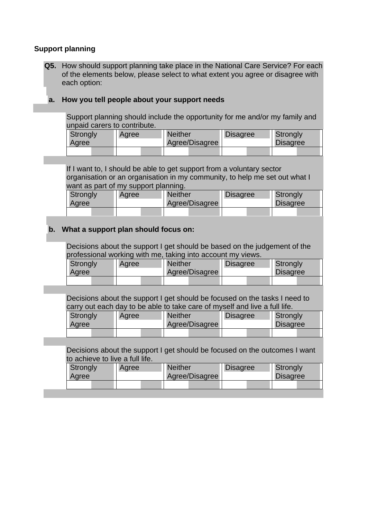### **Support planning**

**Q5.** How should support planning take place in the National Care Service? For each of the elements below, please select to what extent you agree or disagree with each option:

### **a. How you tell people about your support needs**

Support planning should include the opportunity for me and/or my family and unpaid carers to contribute.

| <b>Strongly</b><br>Agree |  | Agree | <b>Neither</b><br>Agree/Disagree |  | <b>Disagree</b> |  | Strongly<br><b>Disagree</b> |  |
|--------------------------|--|-------|----------------------------------|--|-----------------|--|-----------------------------|--|
|                          |  |       |                                  |  |                 |  |                             |  |

If I want to, I should be able to get support from a voluntary sector organisation or an organisation in my community, to help me set out what I want as part of my support planning.

| Strongly<br>Agree | Agree | <b>Neither</b><br>Agree/Disagree | <b>Disagree</b> | Strongly<br><b>Disagree</b> |
|-------------------|-------|----------------------------------|-----------------|-----------------------------|
|                   |       |                                  |                 |                             |

### **b. What a support plan should focus on:**

Decisions about the support I get should be based on the judgement of the professional working with me, taking into account my views.

| <b>Strongly</b><br>Agree | Agree | <b>Neither</b><br>Agree/Disagree | <b>Disagree</b> | Strongly<br><b>Disagree</b> |  |
|--------------------------|-------|----------------------------------|-----------------|-----------------------------|--|
|                          |       |                                  |                 |                             |  |

Decisions about the support I get should be focused on the tasks I need to carry out each day to be able to take care of myself and live a full life.

| <b>Strongly</b> |  | Agree |  | <b>Neither</b> |  | <b>Disagree</b> | Strongly |  |
|-----------------|--|-------|--|----------------|--|-----------------|----------|--|
| Agree           |  |       |  | Agree/Disagree |  |                 | Disagree |  |
|                 |  |       |  |                |  |                 |          |  |

Decisions about the support I get should be focused on the outcomes I want to achieve to live a full life.

| <b>Strongly</b> | Agree | <b>Neither</b> | <b>Disagree</b> | <b>Strongly</b> |
|-----------------|-------|----------------|-----------------|-----------------|
| Agree           |       | Agree/Disagree |                 | <b>Disagree</b> |
|                 |       |                |                 |                 |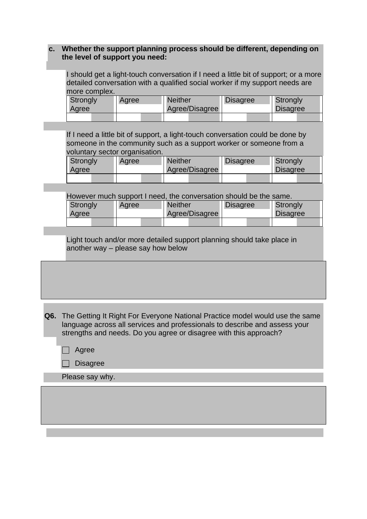### **c. Whether the support planning process should be different, depending on the level of support you need:**

I should get a light-touch conversation if I need a little bit of support; or a more detailed conversation with a qualified social worker if my support needs are more complex.

| Strongly |  | Agree |  | <b>Neither</b><br>Agree/Disagree |  | <b>Disagree</b> |  | Strongly<br><b>Disagree</b> |  |
|----------|--|-------|--|----------------------------------|--|-----------------|--|-----------------------------|--|
| Agree    |  |       |  |                                  |  |                 |  |                             |  |
|          |  |       |  |                                  |  |                 |  |                             |  |
|          |  |       |  |                                  |  |                 |  |                             |  |

If I need a little bit of support, a light-touch conversation could be done by someone in the community such as a support worker or someone from a voluntary sector organisation.

| Strongly<br>Agree | Agree | <b>Neither</b><br>Agree/Disagree | <b>Disagree</b> | Strongly<br><b>Disagree</b> |  |
|-------------------|-------|----------------------------------|-----------------|-----------------------------|--|
|                   |       |                                  |                 |                             |  |

However much support I need, the conversation should be the same.

| Strongly | Agree | <b>Neither</b> | <b>Disagree</b> | Strongly        |
|----------|-------|----------------|-----------------|-----------------|
| Agree    |       | Agree/Disagree |                 | <b>Disagree</b> |
|          |       |                |                 |                 |

Light touch and/or more detailed support planning should take place in another way – please say how below

**Q6.** The Getting It Right For Everyone National Practice model would use the same language across all services and professionals to describe and assess your strengths and needs. Do you agree or disagree with this approach?

- $\Box$  Agree
- $\Box$  Disagree

Please say why.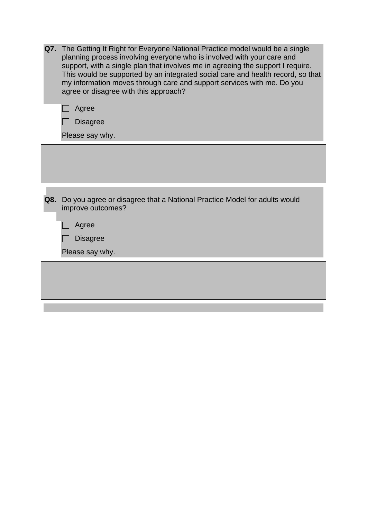| Q7. The Getting It Right for Everyone National Practice model would be a single<br>planning process involving everyone who is involved with your care and<br>support, with a single plan that involves me in agreeing the support I require.<br>This would be supported by an integrated social care and health record, so that<br>my information moves through care and support services with me. Do you<br>agree or disagree with this approach?<br>Agree<br><b>Disagree</b> |
|--------------------------------------------------------------------------------------------------------------------------------------------------------------------------------------------------------------------------------------------------------------------------------------------------------------------------------------------------------------------------------------------------------------------------------------------------------------------------------|
| Please say why.                                                                                                                                                                                                                                                                                                                                                                                                                                                                |
|                                                                                                                                                                                                                                                                                                                                                                                                                                                                                |
| Q8. Do you agree or disagree that a National Practice Model for adults would<br>improve outcomes?                                                                                                                                                                                                                                                                                                                                                                              |
| Agree                                                                                                                                                                                                                                                                                                                                                                                                                                                                          |
| <b>Disagree</b>                                                                                                                                                                                                                                                                                                                                                                                                                                                                |
| Please say why.                                                                                                                                                                                                                                                                                                                                                                                                                                                                |
|                                                                                                                                                                                                                                                                                                                                                                                                                                                                                |
|                                                                                                                                                                                                                                                                                                                                                                                                                                                                                |
|                                                                                                                                                                                                                                                                                                                                                                                                                                                                                |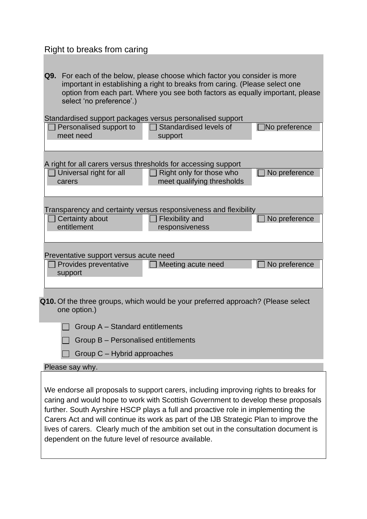### Right to breaks from caring

**Q9.** For each of the below, please choose which factor you consider is more important in establishing a right to breaks from caring. (Please select one option from each part. Where you see both factors as equally important, please select 'no preference'.)

|                                        | Standardised support packages versus personalised support                        |                      |
|----------------------------------------|----------------------------------------------------------------------------------|----------------------|
| Personalised support to                | Standardised levels of                                                           | $\Box$ No preference |
| meet need                              | support                                                                          |                      |
|                                        |                                                                                  |                      |
|                                        | A right for all carers versus thresholds for accessing support                   |                      |
| Universal right for all                | Right only for those who                                                         | No preference        |
| carers                                 | meet qualifying thresholds                                                       |                      |
|                                        |                                                                                  |                      |
|                                        |                                                                                  |                      |
|                                        | Transparency and certainty versus responsiveness and flexibility                 |                      |
| Certainty about<br>entitlement         | <b>Flexibility and</b><br>responsiveness                                         | No preference        |
|                                        |                                                                                  |                      |
|                                        |                                                                                  |                      |
| Preventative support versus acute need |                                                                                  |                      |
| Provides preventative                  | Meeting acute need                                                               | No preference        |
| support                                |                                                                                  |                      |
|                                        |                                                                                  |                      |
|                                        |                                                                                  |                      |
|                                        | Q10. Of the three groups, which would be your preferred approach? (Please select |                      |

one option.)

 $\Box$  Group A – Standard entitlements

|  | $\Box$ Group B – Personalised entitlements |  |
|--|--------------------------------------------|--|
|--|--------------------------------------------|--|

| Group C – Hybrid approaches |
|-----------------------------|
|-----------------------------|

#### Please say why.

 $\mathsf{I}$ 

We endorse all proposals to support carers, including improving rights to breaks for caring and would hope to work with Scottish Government to develop these proposals further. South Ayrshire HSCP plays a full and proactive role in implementing the Carers Act and will continue its work as part of the IJB Strategic Plan to improve the lives of carers. Clearly much of the ambition set out in the consultation document is dependent on the future level of resource available.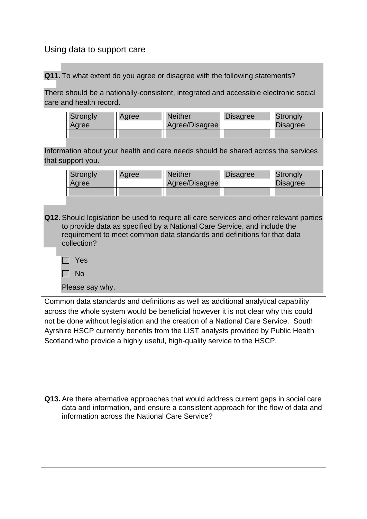### Using data to support care

**Q11.** To what extent do you agree or disagree with the following statements?

There should be a nationally-consistent, integrated and accessible electronic social care and health record.

| Strongly<br>Agree | Agree | <b>Neither</b><br>Agree/Disagree | <b>Disagree</b> | <b>Strongly</b><br><b>Disagree</b> |
|-------------------|-------|----------------------------------|-----------------|------------------------------------|
|                   |       |                                  |                 |                                    |

Information about your health and care needs should be shared across the services that support you.

| <b>Strongly</b><br>Agree | Agree | <b>Neither</b><br>Agree/Disagree | <b>Disagree</b> | <b>Strongly</b><br><b>Disagree</b> |
|--------------------------|-------|----------------------------------|-----------------|------------------------------------|
|                          |       |                                  |                 |                                    |

**Q12.** Should legislation be used to require all care services and other relevant parties to provide data as specified by a National Care Service, and include the requirement to meet common data standards and definitions for that data collection?

Yes

 $\Box$  No

Please say why.

Common data standards and definitions as well as additional analytical capability across the whole system would be beneficial however it is not clear why this could not be done without legislation and the creation of a National Care Service. South Ayrshire HSCP currently benefits from the LIST analysts provided by Public Health Scotland who provide a highly useful, high-quality service to the HSCP.

**Q13.** Are there alternative approaches that would address current gaps in social care data and information, and ensure a consistent approach for the flow of data and information across the National Care Service?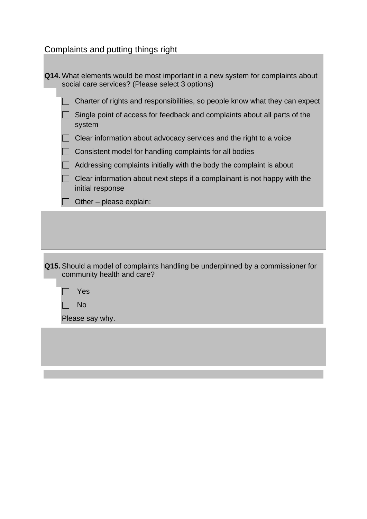Complaints and putting things right

| Q14. What elements would be most important in a new system for complaints about<br>social care services? (Please select 3 options) |
|------------------------------------------------------------------------------------------------------------------------------------|
| Charter of rights and responsibilities, so people know what they can expect                                                        |
| Single point of access for feedback and complaints about all parts of the<br>system                                                |
| Clear information about advocacy services and the right to a voice                                                                 |
| Consistent model for handling complaints for all bodies                                                                            |
| Addressing complaints initially with the body the complaint is about                                                               |
| Clear information about next steps if a complainant is not happy with the<br>initial response                                      |
| Other - please explain:                                                                                                            |
|                                                                                                                                    |
| Q15. Should a model of complaints handling be underpinned by a commissioner for<br>community health and care?<br>Yes               |
| <b>No</b>                                                                                                                          |
| Please say why.                                                                                                                    |
|                                                                                                                                    |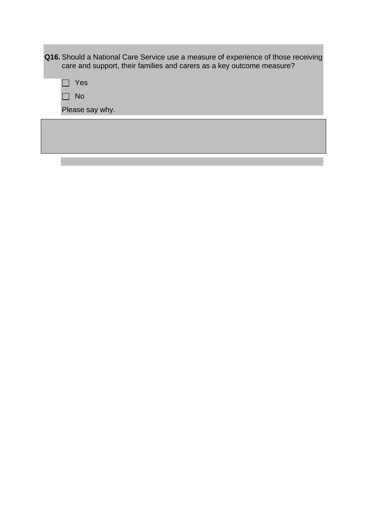| <b>Q16.</b> Should a National Care Service use a measure of experience of those receiving<br>care and support, their families and carers as a key outcome measure? |  |
|--------------------------------------------------------------------------------------------------------------------------------------------------------------------|--|
| Yes                                                                                                                                                                |  |
| <b>No</b>                                                                                                                                                          |  |
| Please say why.                                                                                                                                                    |  |
|                                                                                                                                                                    |  |
|                                                                                                                                                                    |  |

and the state of the state of the

**Contract Contract**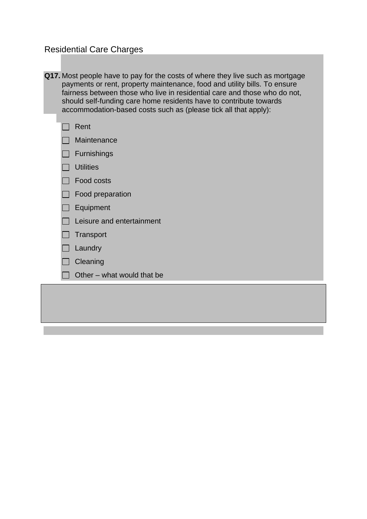# Residential Care Charges

| Q17. Most people have to pay for the costs of where they live such as mortgage |
|--------------------------------------------------------------------------------|
| payments or rent, property maintenance, food and utility bills. To ensure      |
| fairness between those who live in residential care and those who do not,      |
| should self-funding care home residents have to contribute towards             |
| accommodation-based costs such as (please tick all that apply):                |

|        | Rent                       |
|--------|----------------------------|
|        | Maintenance                |
|        | $\Box$ Furnishings         |
|        | □ Utilities                |
|        | <b>Food costs</b>          |
|        | Food preparation           |
|        | Equipment                  |
|        | Leisure and entertainment  |
| $\Box$ | Transport                  |
|        | Laundry                    |
|        | Cleaning                   |
|        | Other – what would that be |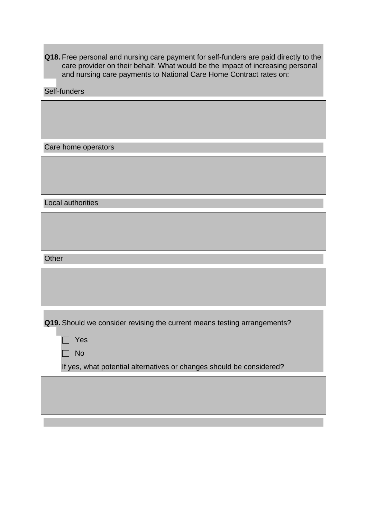**Q18.** Free personal and nursing care payment for self-funders are paid directly to the care provider on their behalf. What would be the impact of increasing personal and nursing care payments to National Care Home Contract rates on:

Self-funders

Care home operators

Local authorities

**Other** 

**Q19.** Should we consider revising the current means testing arrangements?

|--|

 $\Box$  No

If yes, what potential alternatives or changes should be considered?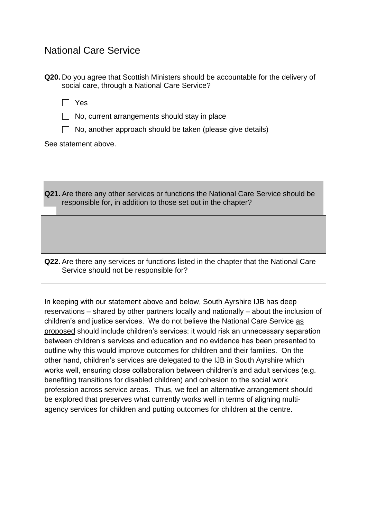# National Care Service

**Q20.** Do you agree that Scottish Ministers should be accountable for the delivery of social care, through a National Care Service?

Yes

 $\Box$  No, current arrangements should stay in place

 $\Box$  No, another approach should be taken (please give details)

See statement above.

**Q21.** Are there any other services or functions the National Care Service should be responsible for, in addition to those set out in the chapter?

**Q22.** Are there any services or functions listed in the chapter that the National Care Service should not be responsible for?

In keeping with our statement above and below, South Ayrshire IJB has deep reservations – shared by other partners locally and nationally – about the inclusion of children's and justice services. We do not believe the National Care Service as proposed should include children's services: it would risk an unnecessary separation between children's services and education and no evidence has been presented to outline why this would improve outcomes for children and their families. On the other hand, children's services are delegated to the IJB in South Ayrshire which works well, ensuring close collaboration between children's and adult services (e.g. benefiting transitions for disabled children) and cohesion to the social work profession across service areas. Thus, we feel an alternative arrangement should be explored that preserves what currently works well in terms of aligning multiagency services for children and putting outcomes for children at the centre.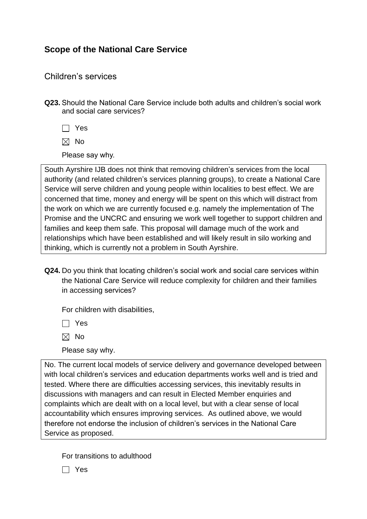# **Scope of the National Care Service**

### Children's services

**Q23.** Should the National Care Service include both adults and children's social work and social care services?

Yes

 $\boxtimes$  No

Please say why.

South Ayrshire IJB does not think that removing children's services from the local authority (and related children's services planning groups), to create a National Care Service will serve children and young people within localities to best effect. We are concerned that time, money and energy will be spent on this which will distract from the work on which we are currently focused e.g. namely the implementation of The Promise and the UNCRC and ensuring we work well together to support children and families and keep them safe. This proposal will damage much of the work and relationships which have been established and will likely result in silo working and thinking, which is currently not a problem in South Ayrshire.

**Q24.** Do you think that locating children's social work and social care services within the National Care Service will reduce complexity for children and their families in accessing services?

For children with disabilities,

Yes

 $\boxtimes$  No

Please say why.

No. The current local models of service delivery and governance developed between with local children's services and education departments works well and is tried and tested. Where there are difficulties accessing services, this inevitably results in discussions with managers and can result in Elected Member enquiries and complaints which are dealt with on a local level, but with a clear sense of local accountability which ensures improving services. As outlined above, we would therefore not endorse the inclusion of children's services in the National Care Service as proposed.

For transitions to adulthood

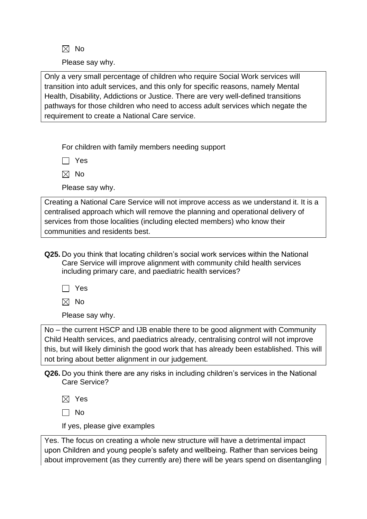$\boxtimes$  No

Please say why.

Only a very small percentage of children who require Social Work services will transition into adult services, and this only for specific reasons, namely Mental Health, Disability, Addictions or Justice. There are very well-defined transitions pathways for those children who need to access adult services which negate the requirement to create a National Care service.

For children with family members needing support

 $\Box$  Yes

 $\boxtimes$  No

Please say why.

Creating a National Care Service will not improve access as we understand it. It is a centralised approach which will remove the planning and operational delivery of services from those localities (including elected members) who know their communities and residents best.

**Q25.** Do you think that locating children's social work services within the National Care Service will improve alignment with community child health services including primary care, and paediatric health services?

Yes

 $\boxtimes$  No

Please say why.

No – the current HSCP and IJB enable there to be good alignment with Community Child Health services, and paediatrics already, centralising control will not improve this, but will likely diminish the good work that has already been established. This will not bring about better alignment in our judgement.

**Q26.** Do you think there are any risks in including children's services in the National Care Service?

 $\boxtimes$  Yes

 $\Box$  No

If yes, please give examples

Yes. The focus on creating a whole new structure will have a detrimental impact upon Children and young people's safety and wellbeing. Rather than services being about improvement (as they currently are) there will be years spend on disentangling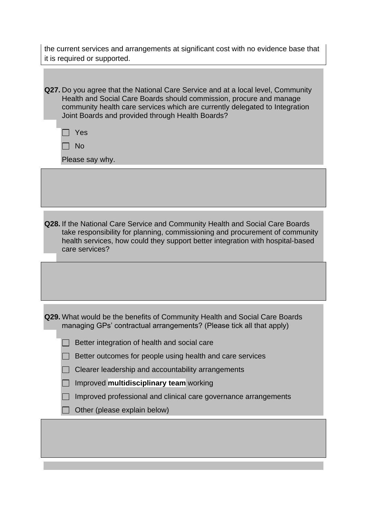the current services and arrangements at significant cost with no evidence base that it is required or supported.

| Q27. Do you agree that the National Care Service and at a local level, Community |
|----------------------------------------------------------------------------------|
| Health and Social Care Boards should commission, procure and manage              |
| community health care services which are currently delegated to Integration      |
| Joint Boards and provided through Health Boards?                                 |

 $\Box$  No

Please say why.

**Q28.** If the National Care Service and Community Health and Social Care Boards take responsibility for planning, commissioning and procurement of community health services, how could they support better integration with hospital-based care services?

**Q29.** What would be the benefits of Community Health and Social Care Boards managing GPs' contractual arrangements? (Please tick all that apply)

| Better outcomes for people using health and care services |  |  |  |  |  |  |
|-----------------------------------------------------------|--|--|--|--|--|--|
|-----------------------------------------------------------|--|--|--|--|--|--|

|  |  |  |  | Clearer leadership and accountability arrangements |  |
|--|--|--|--|----------------------------------------------------|--|
|--|--|--|--|----------------------------------------------------|--|

| Improved multidisciplinary team working |
|-----------------------------------------|
|-----------------------------------------|

 $\Box$ Improved professional and clinical care governance arrangements

 $\Box$  Other (please explain below)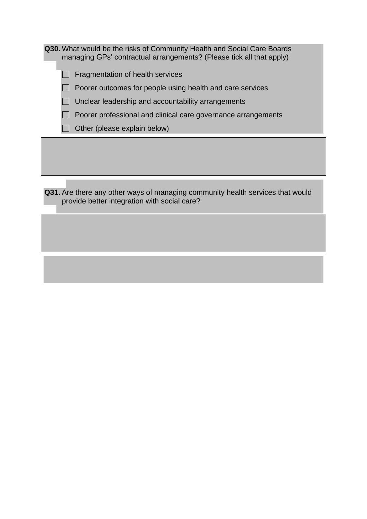**Q30.** What would be the risks of Community Health and Social Care Boards managing GPs' contractual arrangements? (Please tick all that apply)

 $\Box$  Fragmentation of health services

 $\Box$  Poorer outcomes for people using health and care services

 $\Box$  Unclear leadership and accountability arrangements

 $\Box$  Poorer professional and clinical care governance arrangements

 $\Box$  Other (please explain below)

**Q31.** Are there any other ways of managing community health services that would provide better integration with social care?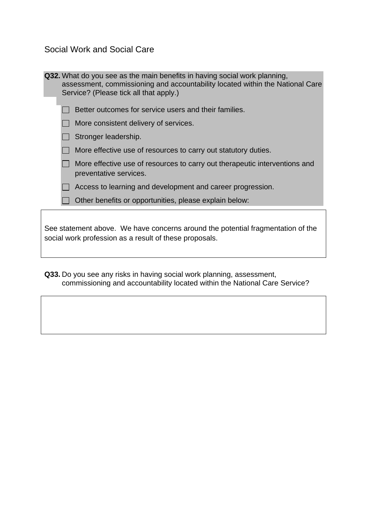Social Work and Social Care

| <b>Q32.</b> What do you see as the main benefits in having social work planning,<br>assessment, commissioning and accountability located within the National Care<br>Service? (Please tick all that apply.) |
|-------------------------------------------------------------------------------------------------------------------------------------------------------------------------------------------------------------|
| Better outcomes for service users and their families.                                                                                                                                                       |
| More consistent delivery of services.                                                                                                                                                                       |
| Stronger leadership.                                                                                                                                                                                        |
| More effective use of resources to carry out statutory duties.                                                                                                                                              |
| More effective use of resources to carry out therapeutic interventions and<br>preventative services.                                                                                                        |
| Access to learning and development and career progression.                                                                                                                                                  |
| Other benefits or opportunities, please explain below:                                                                                                                                                      |
| See statement above. We have concerns around the potential fragmentation of the<br>social work profession as a result of these proposals.                                                                   |

**Q33.** Do you see any risks in having social work planning, assessment, commissioning and accountability located within the National Care Service?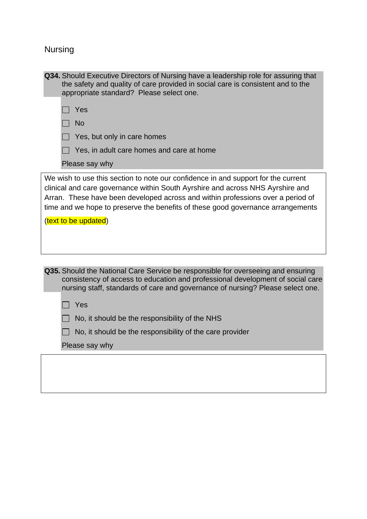# Nursing

| Q34. Should Executive Directors of Nursing have a leadership role for assuring that<br>the safety and quality of care provided in social care is consistent and to the<br>appropriate standard? Please select one.                                                                                                                                                                          |
|---------------------------------------------------------------------------------------------------------------------------------------------------------------------------------------------------------------------------------------------------------------------------------------------------------------------------------------------------------------------------------------------|
| Yes                                                                                                                                                                                                                                                                                                                                                                                         |
| <b>No</b>                                                                                                                                                                                                                                                                                                                                                                                   |
| Yes, but only in care homes                                                                                                                                                                                                                                                                                                                                                                 |
| Yes, in adult care homes and care at home                                                                                                                                                                                                                                                                                                                                                   |
| Please say why                                                                                                                                                                                                                                                                                                                                                                              |
| We wish to use this section to note our confidence in and support for the current<br>clinical and care governance within South Ayrshire and across NHS Ayrshire and<br>Arran. These have been developed across and within professions over a period of<br>time and we hope to preserve the benefits of these good governance arrangements<br>(text to be updated)                           |
| Q35. Should the National Care Service be responsible for overseeing and ensuring<br>consistency of access to education and professional development of social care<br>nursing staff, standards of care and governance of nursing? Please select one.<br>Yes<br>No, it should be the responsibility of the NHS<br>No, it should be the responsibility of the care provider<br>Please say why |
|                                                                                                                                                                                                                                                                                                                                                                                             |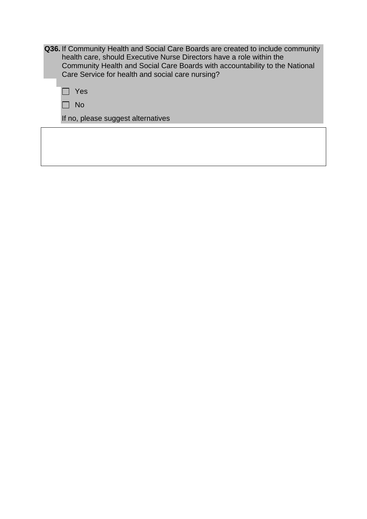**Q36.** If Community Health and Social Care Boards are created to include community health care, should Executive Nurse Directors have a role within the Community Health and Social Care Boards with accountability to the National Care Service for health and social care nursing?

| ۹ |
|---|
|   |

Г

If no, please suggest alternatives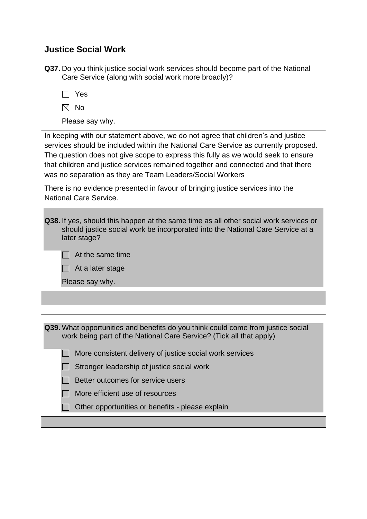## **Justice Social Work**

**Q37.** Do you think justice social work services should become part of the National Care Service (along with social work more broadly)?

|--|

- $\boxtimes$  No
- Please say why.

In keeping with our statement above, we do not agree that children's and justice services should be included within the National Care Service as currently proposed. The question does not give scope to express this fully as we would seek to ensure that children and justice services remained together and connected and that there was no separation as they are Team Leaders/Social Workers

There is no evidence presented in favour of bringing justice services into the National Care Service.

**Q38.** If yes, should this happen at the same time as all other social work services or should justice social work be incorporated into the National Care Service at a later stage?

|  |  |  | At the same time |  |
|--|--|--|------------------|--|
|--|--|--|------------------|--|

|  |  |  |  | $\Box$ At a later stage |
|--|--|--|--|-------------------------|
|--|--|--|--|-------------------------|

Please say why.

 $\Box$ 

L

| Q39. What opportunities and benefits do you think could come from justice social |  |
|----------------------------------------------------------------------------------|--|
| work being part of the National Care Service? (Tick all that apply)              |  |

|  | More consistent delivery of justice social work services |  |  |  |  |  |
|--|----------------------------------------------------------|--|--|--|--|--|
|--|----------------------------------------------------------|--|--|--|--|--|

|  |  | Stronger leadership of justice social work |  |  |  |
|--|--|--------------------------------------------|--|--|--|
|--|--|--------------------------------------------|--|--|--|

- $\Box$  Better outcomes for service users
- $\Box$  More efficient use of resources
- $\Box$  Other opportunities or benefits please explain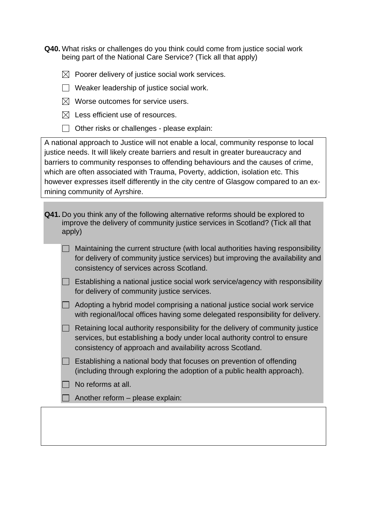**Q40.** What risks or challenges do you think could come from justice social work being part of the National Care Service? (Tick all that apply)

- $\boxtimes$  Poorer delivery of justice social work services.
- $\Box$  Weaker leadership of justice social work.
- $\boxtimes$  Worse outcomes for service users.
- $\boxtimes$  Less efficient use of resources.
- $\Box$  Other risks or challenges please explain:

A national approach to Justice will not enable a local, community response to local justice needs. It will likely create barriers and result in greater bureaucracy and barriers to community responses to offending behaviours and the causes of crime, which are often associated with Trauma, Poverty, addiction, isolation etc. This however expresses itself differently in the city centre of Glasgow compared to an exmining community of Ayrshire.

**Q41.** Do you think any of the following alternative reforms should be explored to improve the delivery of community justice services in Scotland? (Tick all that apply)

| $\Box$ Maintaining the current structure (with local authorities having responsibility |
|----------------------------------------------------------------------------------------|
| for delivery of community justice services) but improving the availability and         |
| consistency of services across Scotland.                                               |

- $\Box$  Establishing a national justice social work service/agency with responsibility for delivery of community justice services.
- $\Box$  Adopting a hybrid model comprising a national justice social work service with regional/local offices having some delegated responsibility for delivery.
- $\Box$  Retaining local authority responsibility for the delivery of community justice services, but establishing a body under local authority control to ensure consistency of approach and availability across Scotland.
- $\Box$  Establishing a national body that focuses on prevention of offending (including through exploring the adoption of a public health approach).
- $\Box$  No reforms at all.
- $\Box$  Another reform please explain: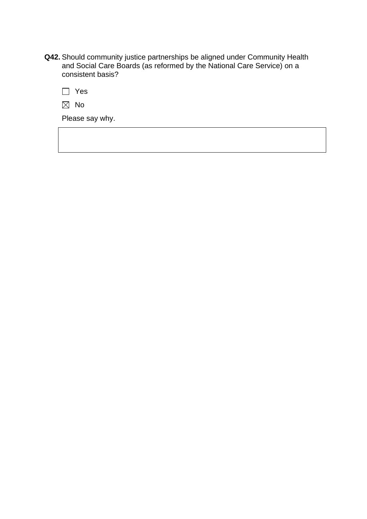- **Q42.** Should community justice partnerships be aligned under Community Health and Social Care Boards (as reformed by the National Care Service) on a consistent basis?
	- Yes
	- $\boxtimes$  No

Please say why.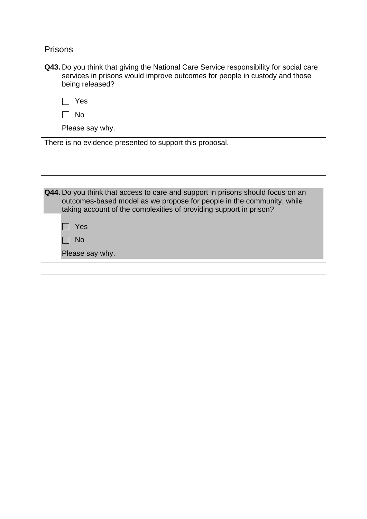Prisons

| Q43. Do you think that giving the National Care Service responsibility for social care |
|----------------------------------------------------------------------------------------|
| services in prisons would improve outcomes for people in custody and those             |
| being released?                                                                        |

| w<br>۰.<br>۰. |
|---------------|
|               |

| ×<br>v |
|--------|
|        |

Please say why.

There is no evidence presented to support this proposal.

**Q44.** Do you think that access to care and support in prisons should focus on an outcomes-based model as we propose for people in the community, while taking account of the complexities of providing support in prison?

□ Yes

 $\Box$  No

Please say why.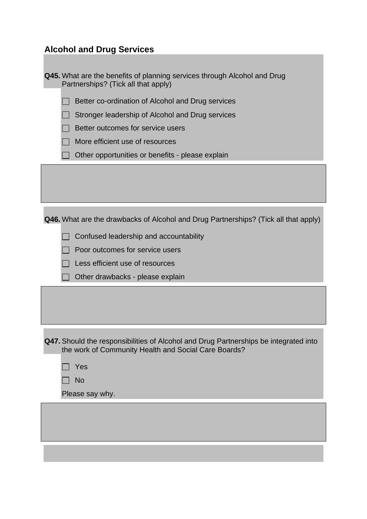# **Alcohol and Drug Services**

| Q45. What are the benefits of planning services through Alcohol and Drug<br>Partnerships? (Tick all that apply)                              |  |  |
|----------------------------------------------------------------------------------------------------------------------------------------------|--|--|
| Better co-ordination of Alcohol and Drug services                                                                                            |  |  |
| Stronger leadership of Alcohol and Drug services                                                                                             |  |  |
| Better outcomes for service users                                                                                                            |  |  |
| More efficient use of resources                                                                                                              |  |  |
| Other opportunities or benefits - please explain                                                                                             |  |  |
|                                                                                                                                              |  |  |
|                                                                                                                                              |  |  |
|                                                                                                                                              |  |  |
| Q46. What are the drawbacks of Alcohol and Drug Partnerships? (Tick all that apply)                                                          |  |  |
| Confused leadership and accountability                                                                                                       |  |  |
| Poor outcomes for service users                                                                                                              |  |  |
| Less efficient use of resources                                                                                                              |  |  |
| Other drawbacks - please explain                                                                                                             |  |  |
|                                                                                                                                              |  |  |
|                                                                                                                                              |  |  |
|                                                                                                                                              |  |  |
| Q47. Should the responsibilities of Alcohol and Drug Partnerships be integrated into<br>the work of Community Health and Social Care Boards? |  |  |
| Yes                                                                                                                                          |  |  |
| <b>No</b>                                                                                                                                    |  |  |
| Please say why.                                                                                                                              |  |  |
|                                                                                                                                              |  |  |
|                                                                                                                                              |  |  |
|                                                                                                                                              |  |  |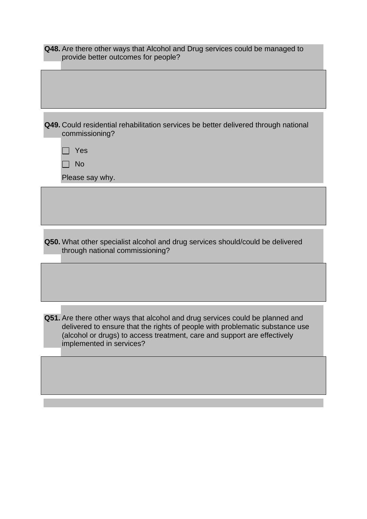| Q48. Are there other ways that Alcohol and Drug services could be managed to<br>provide better outcomes for people?                                                                                                                                                   |
|-----------------------------------------------------------------------------------------------------------------------------------------------------------------------------------------------------------------------------------------------------------------------|
|                                                                                                                                                                                                                                                                       |
| Q49. Could residential rehabilitation services be better delivered through national<br>commissioning?                                                                                                                                                                 |
| Yes                                                                                                                                                                                                                                                                   |
| <b>No</b>                                                                                                                                                                                                                                                             |
| Please say why.                                                                                                                                                                                                                                                       |
|                                                                                                                                                                                                                                                                       |
|                                                                                                                                                                                                                                                                       |
| Q50. What other specialist alcohol and drug services should/could be delivered<br>through national commissioning?                                                                                                                                                     |
|                                                                                                                                                                                                                                                                       |
| Q51. Are there other ways that alcohol and drug services could be planned and<br>delivered to ensure that the rights of people with problematic substance use<br>(alcohol or drugs) to access treatment, care and support are effectively<br>implemented in services? |
|                                                                                                                                                                                                                                                                       |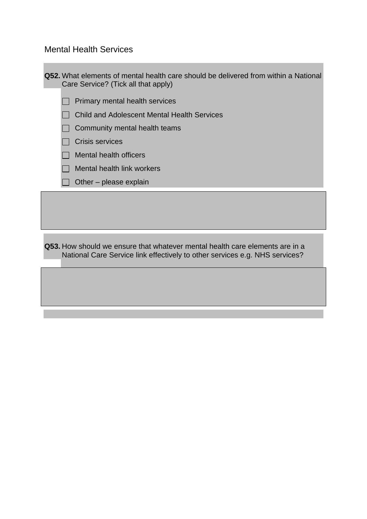Mental Health Services

**Q52.** What elements of mental health care should be delivered from within a National Care Service? (Tick all that apply)

- $\Box$  Primary mental health services
- Child and Adolescent Mental Health Services
- $\Box$  Community mental health teams
- $\Box$  Crisis services
- $\Box$  Mental health officers
- $\Box$  Mental health link workers
- $\Box$  Other please explain

**Q53.** How should we ensure that whatever mental health care elements are in a National Care Service link effectively to other services e.g. NHS services?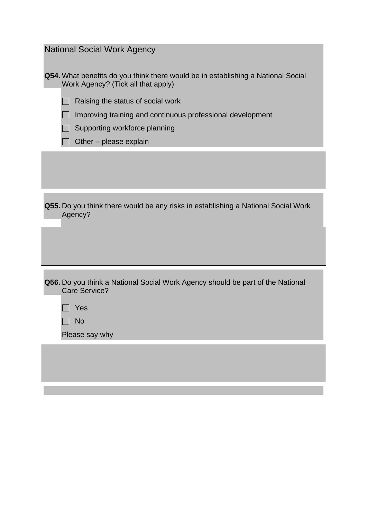| <b>National Social Work Agency</b>                                                                                     |
|------------------------------------------------------------------------------------------------------------------------|
| Q54. What benefits do you think there would be in establishing a National Social<br>Work Agency? (Tick all that apply) |
| Raising the status of social work                                                                                      |
| Improving training and continuous professional development                                                             |
| Supporting workforce planning                                                                                          |
| Other – please explain                                                                                                 |
|                                                                                                                        |
|                                                                                                                        |
|                                                                                                                        |
| Q55. Do you think there would be any risks in establishing a National Social Work<br>Agency?                           |
|                                                                                                                        |
|                                                                                                                        |
|                                                                                                                        |
| Q56. Do you think a National Social Work Agency should be part of the National<br>Care Service?                        |
| Yes                                                                                                                    |
| <b>No</b>                                                                                                              |
| Please say why                                                                                                         |
|                                                                                                                        |
|                                                                                                                        |
|                                                                                                                        |
|                                                                                                                        |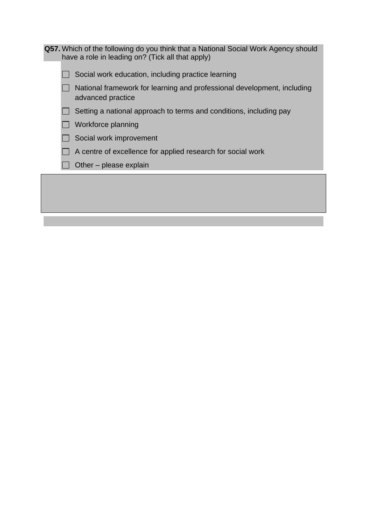| <b>Q57.</b> Which of the following do you think that a National Social Work Agency should<br>have a role in leading on? (Tick all that apply) |
|-----------------------------------------------------------------------------------------------------------------------------------------------|
| Social work education, including practice learning                                                                                            |
| National framework for learning and professional development, including<br>advanced practice                                                  |
| Setting a national approach to terms and conditions, including pay                                                                            |
| Workforce planning                                                                                                                            |
| Social work improvement                                                                                                                       |
| A centre of excellence for applied research for social work                                                                                   |
| Other – please explain                                                                                                                        |
|                                                                                                                                               |
|                                                                                                                                               |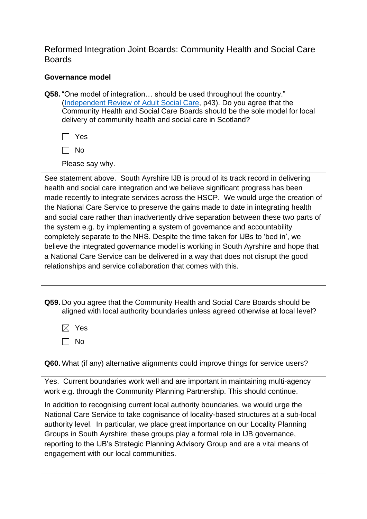Reformed Integration Joint Boards: Community Health and Social Care **Boards** 

### **Governance model**

**Q58.** "One model of integration… should be used throughout the country." [\(Independent Review of Adult Social Care,](https://www.gov.scot/publications/independent-review-adult-social-care-scotland/) p43). Do you agree that the Community Health and Social Care Boards should be the sole model for local delivery of community health and social care in Scotland?

 $\Box$  Yes

 $\Box$  No

Please say why.

See statement above. South Ayrshire IJB is proud of its track record in delivering health and social care integration and we believe significant progress has been made recently to integrate services across the HSCP. We would urge the creation of the National Care Service to preserve the gains made to date in integrating health and social care rather than inadvertently drive separation between these two parts of the system e.g. by implementing a system of governance and accountability completely separate to the NHS. Despite the time taken for IJBs to 'bed in', we believe the integrated governance model is working in South Ayrshire and hope that a National Care Service can be delivered in a way that does not disrupt the good relationships and service collaboration that comes with this.

**Q59.** Do you agree that the Community Health and Social Care Boards should be aligned with local authority boundaries unless agreed otherwise at local level?

 $\boxtimes$  Yes

 $\Box$  No

**Q60.** What (if any) alternative alignments could improve things for service users?

Yes. Current boundaries work well and are important in maintaining multi-agency work e.g. through the Community Planning Partnership. This should continue.

In addition to recognising current local authority boundaries, we would urge the National Care Service to take cognisance of locality-based structures at a sub-local authority level. In particular, we place great importance on our Locality Planning Groups in South Ayrshire; these groups play a formal role in IJB governance, reporting to the IJB's Strategic Planning Advisory Group and are a vital means of engagement with our local communities.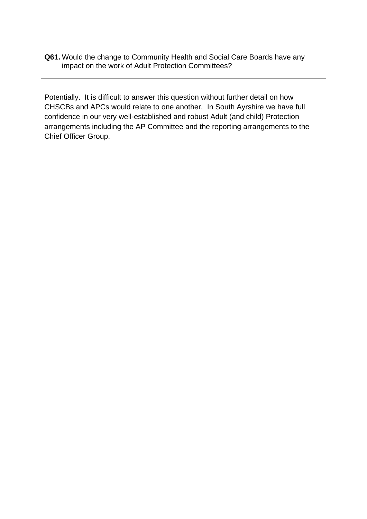**Q61.** Would the change to Community Health and Social Care Boards have any impact on the work of Adult Protection Committees?

Potentially. It is difficult to answer this question without further detail on how CHSCBs and APCs would relate to one another. In South Ayrshire we have full confidence in our very well-established and robust Adult (and child) Protection arrangements including the AP Committee and the reporting arrangements to the Chief Officer Group.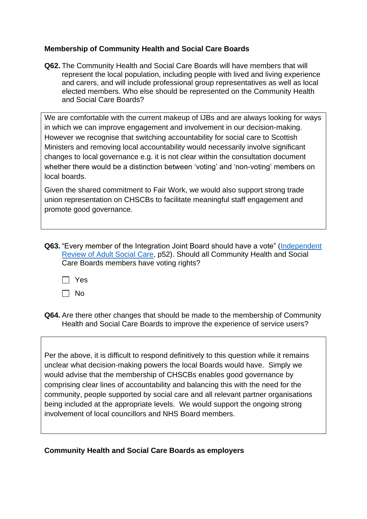### **Membership of Community Health and Social Care Boards**

**Q62.** The Community Health and Social Care Boards will have members that will represent the local population, including people with lived and living experience and carers, and will include professional group representatives as well as local elected members. Who else should be represented on the Community Health and Social Care Boards?

We are comfortable with the current makeup of IJBs and are always looking for ways in which we can improve engagement and involvement in our decision-making. However we recognise that switching accountability for social care to Scottish Ministers and removing local accountability would necessarily involve significant changes to local governance e.g. it is not clear within the consultation document whether there would be a distinction between 'voting' and 'non-voting' members on local boards.

Given the shared commitment to Fair Work, we would also support strong trade union representation on CHSCBs to facilitate meaningful staff engagement and promote good governance.

- **Q63.** "Every member of the Integration Joint Board should have a vote" [\(Independent](https://www.gov.scot/publications/independent-review-adult-social-care-scotland/)  [Review of Adult Social Care,](https://www.gov.scot/publications/independent-review-adult-social-care-scotland/) p52). Should all Community Health and Social Care Boards members have voting rights?
	- Yes
	- $\Box$  No
- **Q64.** Are there other changes that should be made to the membership of Community Health and Social Care Boards to improve the experience of service users?

Per the above, it is difficult to respond definitively to this question while it remains unclear what decision-making powers the local Boards would have. Simply we would advise that the membership of CHSCBs enables good governance by comprising clear lines of accountability and balancing this with the need for the community, people supported by social care and all relevant partner organisations being included at the appropriate levels. We would support the ongoing strong involvement of local councillors and NHS Board members.

### **Community Health and Social Care Boards as employers**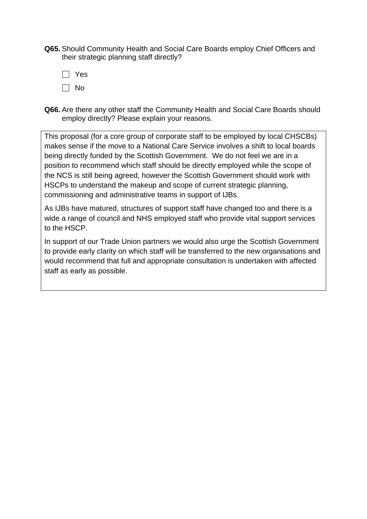**Q65.** Should Community Health and Social Care Boards employ Chief Officers and their strategic planning staff directly?

 $\Box$  Yes  $\Box$  No

**Q66.** Are there any other staff the Community Health and Social Care Boards should employ directly? Please explain your reasons.

This proposal (for a core group of corporate staff to be employed by local CHSCBs) makes sense if the move to a National Care Service involves a shift to local boards being directly funded by the Scottish Government. We do not feel we are in a position to recommend which staff should be directly employed while the scope of the NCS is still being agreed, however the Scottish Government should work with HSCPs to understand the makeup and scope of current strategic planning, commissioning and administrative teams in support of IJBs.

As IJBs have matured, structures of support staff have changed too and there is a wide a range of council and NHS employed staff who provide vital support services to the HSCP.

In support of our Trade Union partners we would also urge the Scottish Government to provide early clarity on which staff will be transferred to the new organisations and would recommend that full and appropriate consultation is undertaken with affected staff as early as possible.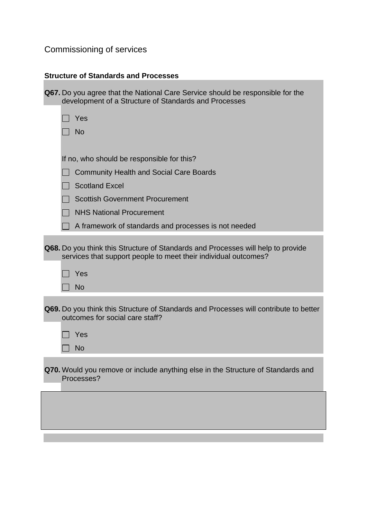# Commissioning of services

# **Structure of Standards and Processes**

| <b>Q67.</b> Do you agree that the National Care Service should be responsible for the<br>development of a Structure of Standards and Processes      |
|-----------------------------------------------------------------------------------------------------------------------------------------------------|
| Yes                                                                                                                                                 |
| <b>No</b>                                                                                                                                           |
|                                                                                                                                                     |
| If no, who should be responsible for this?                                                                                                          |
| <b>Community Health and Social Care Boards</b>                                                                                                      |
| <b>Scotland Excel</b>                                                                                                                               |
| <b>Scottish Government Procurement</b>                                                                                                              |
| <b>NHS National Procurement</b>                                                                                                                     |
| A framework of standards and processes is not needed                                                                                                |
| Q68. Do you think this Structure of Standards and Processes will help to provide<br>services that support people to meet their individual outcomes? |
| Yes                                                                                                                                                 |
| <b>No</b>                                                                                                                                           |
| Q69. Do you think this Structure of Standards and Processes will contribute to better<br>outcomes for social care staff?                            |
| Yes                                                                                                                                                 |
| <b>No</b>                                                                                                                                           |
| Q70. Would you remove or include anything else in the Structure of Standards and<br>Processes?                                                      |
|                                                                                                                                                     |
|                                                                                                                                                     |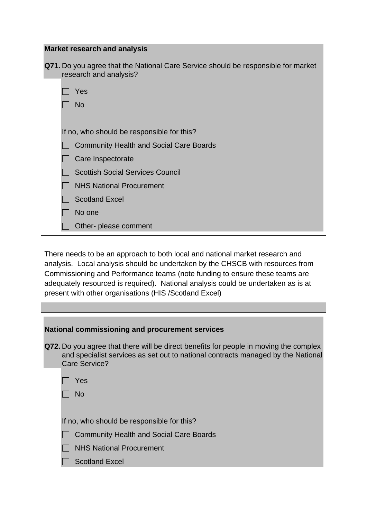| <b>Market research and analysis</b>                                                                                                                                                                                                                                                                                                                                                          |
|----------------------------------------------------------------------------------------------------------------------------------------------------------------------------------------------------------------------------------------------------------------------------------------------------------------------------------------------------------------------------------------------|
| Q71. Do you agree that the National Care Service should be responsible for market<br>research and analysis?                                                                                                                                                                                                                                                                                  |
| Yes                                                                                                                                                                                                                                                                                                                                                                                          |
| <b>No</b>                                                                                                                                                                                                                                                                                                                                                                                    |
|                                                                                                                                                                                                                                                                                                                                                                                              |
| If no, who should be responsible for this?                                                                                                                                                                                                                                                                                                                                                   |
| <b>Community Health and Social Care Boards</b>                                                                                                                                                                                                                                                                                                                                               |
| Care Inspectorate                                                                                                                                                                                                                                                                                                                                                                            |
| <b>Scottish Social Services Council</b>                                                                                                                                                                                                                                                                                                                                                      |
| <b>NHS National Procurement</b>                                                                                                                                                                                                                                                                                                                                                              |
| <b>Scotland Excel</b>                                                                                                                                                                                                                                                                                                                                                                        |
| No one                                                                                                                                                                                                                                                                                                                                                                                       |
| Other- please comment                                                                                                                                                                                                                                                                                                                                                                        |
|                                                                                                                                                                                                                                                                                                                                                                                              |
| There needs to be an approach to both local and national market research and<br>analysis. Local analysis should be undertaken by the CHSCB with resources from<br>Commissioning and Performance teams (note funding to ensure these teams are<br>adequately resourced is required). National analysis could be undertaken as is at<br>present with other organisations (HIS /Scotland Excel) |

| National commissioning and procurement services |  |
|-------------------------------------------------|--|
|-------------------------------------------------|--|

- **Q72.** Do you agree that there will be direct benefits for people in moving the complex and specialist services as set out to national contracts managed by the National Care Service?
	- □ Yes
	- $\Box$  No

If no, who should be responsible for this?

- □ Community Health and Social Care Boards
- **NHS National Procurement**
- □ Scotland Excel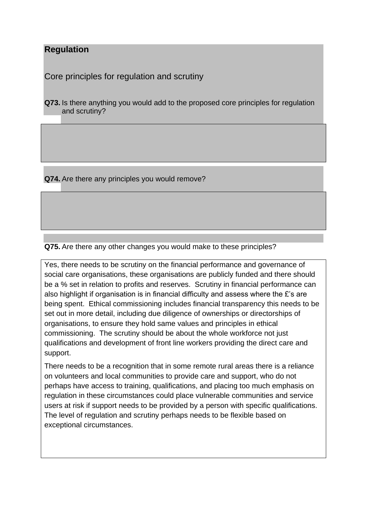## **Regulation**

Core principles for regulation and scrutiny

**Q73.** Is there anything you would add to the proposed core principles for regulation and scrutiny?

**Q74.** Are there any principles you would remove?

**Q75.** Are there any other changes you would make to these principles?

Yes, there needs to be scrutiny on the financial performance and governance of social care organisations, these organisations are publicly funded and there should be a % set in relation to profits and reserves. Scrutiny in financial performance can also highlight if organisation is in financial difficulty and assess where the £'s are being spent. Ethical commissioning includes financial transparency this needs to be set out in more detail, including due diligence of ownerships or directorships of organisations, to ensure they hold same values and principles in ethical commissioning. The scrutiny should be about the whole workforce not just qualifications and development of front line workers providing the direct care and support.

There needs to be a recognition that in some remote rural areas there is a reliance on volunteers and local communities to provide care and support, who do not perhaps have access to training, qualifications, and placing too much emphasis on regulation in these circumstances could place vulnerable communities and service users at risk if support needs to be provided by a person with specific qualifications. The level of regulation and scrutiny perhaps needs to be flexible based on exceptional circumstances.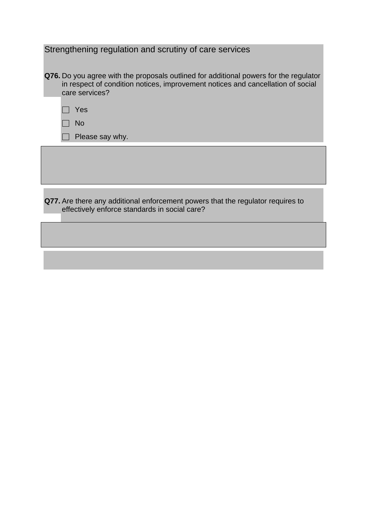| Strengthening regulation and scrutiny of care services                                                                                                                                            |
|---------------------------------------------------------------------------------------------------------------------------------------------------------------------------------------------------|
| <b>Q76.</b> Do you agree with the proposals outlined for additional powers for the regulator<br>in respect of condition notices, improvement notices and cancellation of social<br>care services? |
| Yes                                                                                                                                                                                               |
| <b>No</b>                                                                                                                                                                                         |
| Please say why.                                                                                                                                                                                   |
|                                                                                                                                                                                                   |
|                                                                                                                                                                                                   |
|                                                                                                                                                                                                   |
|                                                                                                                                                                                                   |

**Q77.** Are there any additional enforcement powers that the regulator requires to effectively enforce standards in social care?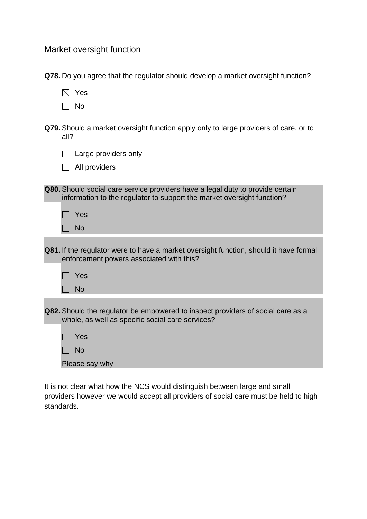Market oversight function

|  | Q78. Do you agree that the regulator should develop a market oversight function? |  |  |
|--|----------------------------------------------------------------------------------|--|--|

|--|--|

- $\Box$  No
- **Q79.** Should a market oversight function apply only to large providers of care, or to all?

□ All providers

| Q80. Should social care service providers have a legal duty to provide certain |
|--------------------------------------------------------------------------------|
| information to the regulator to support the market oversight function?         |
|                                                                                |

| Yes |
|-----|
| No  |

| <b>Q81.</b> If the regulator were to have a market oversight function, should it have formal |
|----------------------------------------------------------------------------------------------|
| enforcement powers associated with this?                                                     |
|                                                                                              |

| Yes |
|-----|
| N٥  |

| <b>Q82.</b> Should the regulator be empowered to inspect providers of social care as a |
|----------------------------------------------------------------------------------------|
| whole, as well as specific social care services?                                       |

L

No  $\Box$ 

Please say why

It is not clear what how the NCS would distinguish between large and small providers however we would accept all providers of social care must be held to high standards.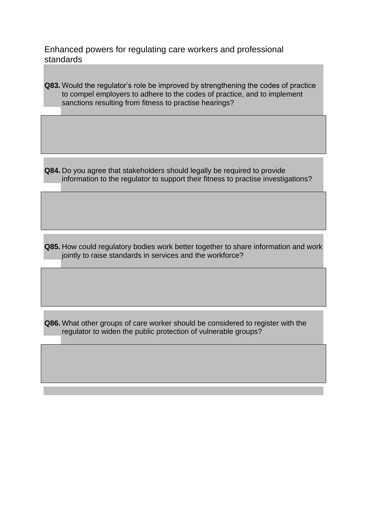Enhanced powers for regulating care workers and professional standards

**Q83.** Would the regulator's role be improved by strengthening the codes of practice to compel employers to adhere to the codes of practice, and to implement sanctions resulting from fitness to practise hearings?

**Q84.** Do you agree that stakeholders should legally be required to provide information to the regulator to support their fitness to practise investigations?

**Q85.** How could regulatory bodies work better together to share information and work jointly to raise standards in services and the workforce?

**Q86.** What other groups of care worker should be considered to register with the regulator to widen the public protection of vulnerable groups?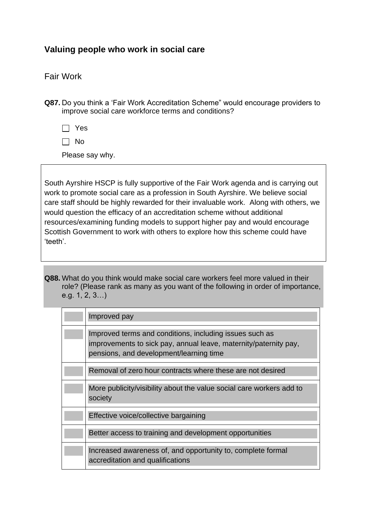## **Valuing people who work in social care**

## Fair Work

**Q87.** Do you think a 'Fair Work Accreditation Scheme" would encourage providers to improve social care workforce terms and conditions?

 $\Box$  Yes

 $\Box$  No

Please say why.

South Ayrshire HSCP is fully supportive of the Fair Work agenda and is carrying out work to promote social care as a profession in South Ayrshire. We believe social care staff should be highly rewarded for their invaluable work. Along with others, we would question the efficacy of an accreditation scheme without additional resources/examining funding models to support higher pay and would encourage Scottish Government to work with others to explore how this scheme could have 'teeth'.

**Q88.** What do you think would make social care workers feel more valued in their role? (Please rank as many as you want of the following in order of importance, e.g. 1, 2, 3…)

| Improved pay                                                                                                                                                           |
|------------------------------------------------------------------------------------------------------------------------------------------------------------------------|
| Improved terms and conditions, including issues such as<br>improvements to sick pay, annual leave, maternity/paternity pay,<br>pensions, and development/learning time |
| Removal of zero hour contracts where these are not desired                                                                                                             |
| More publicity/visibility about the value social care workers add to<br>society                                                                                        |
| Effective voice/collective bargaining                                                                                                                                  |
| Better access to training and development opportunities                                                                                                                |
| Increased awareness of, and opportunity to, complete formal<br>accreditation and qualifications                                                                        |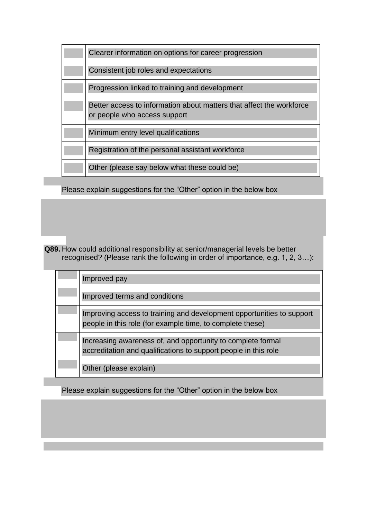| Clearer information on options for career progression                                                |
|------------------------------------------------------------------------------------------------------|
| Consistent job roles and expectations                                                                |
| Progression linked to training and development                                                       |
| Better access to information about matters that affect the workforce<br>or people who access support |
| Minimum entry level qualifications                                                                   |
| Registration of the personal assistant workforce                                                     |
| Other (please say below what these could be)                                                         |

Please explain suggestions for the "Other" option in the below box

**Q89.** How could additional responsibility at senior/managerial levels be better recognised? (Please rank the following in order of importance, e.g. 1, 2, 3…):

| Improved pay                                                                                                                       |
|------------------------------------------------------------------------------------------------------------------------------------|
| Improved terms and conditions                                                                                                      |
| Improving access to training and development opportunities to support<br>people in this role (for example time, to complete these) |
| Increasing awareness of, and opportunity to complete formal<br>accreditation and qualifications to support people in this role     |
| Other (please explain)                                                                                                             |

Please explain suggestions for the "Other" option in the below box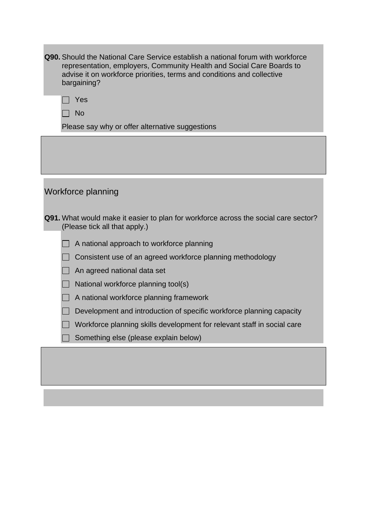| <b>Q90.</b> Should the National Care Service establish a national forum with workforce<br>representation, employers, Community Health and Social Care Boards to<br>advise it on workforce priorities, terms and conditions and collective<br>bargaining? |
|----------------------------------------------------------------------------------------------------------------------------------------------------------------------------------------------------------------------------------------------------------|
| Yes                                                                                                                                                                                                                                                      |
| <b>No</b>                                                                                                                                                                                                                                                |
| Please say why or offer alternative suggestions                                                                                                                                                                                                          |
|                                                                                                                                                                                                                                                          |
|                                                                                                                                                                                                                                                          |
| Workforce planning                                                                                                                                                                                                                                       |
| <b>Q91.</b> What would make it easier to plan for workforce across the social care sector?<br>(Please tick all that apply.)                                                                                                                              |
| A national approach to workforce planning                                                                                                                                                                                                                |
| Consistent use of an agreed workforce planning methodology                                                                                                                                                                                               |
| An agreed national data set                                                                                                                                                                                                                              |
| National workforce planning tool(s)                                                                                                                                                                                                                      |
| A national workforce planning framework                                                                                                                                                                                                                  |
| Development and introduction of specific workforce planning capacity                                                                                                                                                                                     |
| Workforce planning skills development for relevant staff in social care                                                                                                                                                                                  |
| Something else (please explain below)                                                                                                                                                                                                                    |
|                                                                                                                                                                                                                                                          |

**The State**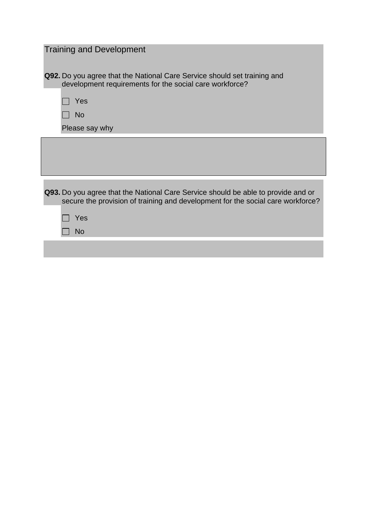| <b>Training and Development</b>                                                                                                                                                  |
|----------------------------------------------------------------------------------------------------------------------------------------------------------------------------------|
| <b>Q92.</b> Do you agree that the National Care Service should set training and<br>development requirements for the social care workforce?<br>Yes<br><b>No</b><br>Please say why |
|                                                                                                                                                                                  |
|                                                                                                                                                                                  |
| Q93. Do you agree that the National Care Service should be able to provide and or<br>secure the provision of training and development for the social care workforce?             |
| Yes                                                                                                                                                                              |
| <b>No</b>                                                                                                                                                                        |
|                                                                                                                                                                                  |